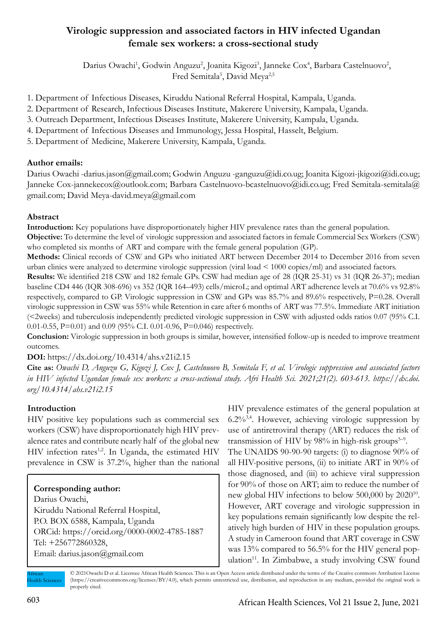# **Virologic suppression and associated factors in HIV infected Ugandan female sex workers: a cross-sectional study**

Darius Owachi<sup>1</sup>, Godwin Anguzu<sup>2</sup>, Joanita Kigozi<sup>3</sup>, Janneke Cox<sup>4</sup>, Barbara Castelnuovo<sup>2</sup>, Fred Semitala<sup>5</sup>, David Meya<sup>2,5</sup>

- 1. Department of Infectious Diseases, Kiruddu National Referral Hospital, Kampala, Uganda.
- 2. Department of Research, Infectious Diseases Institute, Makerere University, Kampala, Uganda.
- 3. Outreach Department, Infectious Diseases Institute, Makerere University, Kampala, Uganda.
- 4. Department of Infectious Diseases and Immunology, Jessa Hospital, Hasselt, Belgium.
- 5. Department of Medicine, Makerere University, Kampala, Uganda.

### **Author emails:**

Darius Owachi -darius.jason@gmail.com; Godwin Anguzu -ganguzu@idi.co.ug; Joanita Kigozi-jkigozi@idi.co.ug; Janneke Cox-jannekecox@outlook.com; Barbara Castelnuovo-bcastelnuovo@idi.co.ug; Fred Semitala-semitala@ gmail.com; David Meya-david.meya@gmail.com

## **Abstract**

**Introduction:** Key populations have disproportionately higher HIV prevalence rates than the general population.

**Objective:** To determine the level of virologic suppression and associated factors in female Commercial Sex Workers (CSW) who completed six months of ART and compare with the female general population (GP).

**Methods:** Clinical records of CSW and GPs who initiated ART between December 2014 to December 2016 from seven urban clinics were analyzed to determine virologic suppression (viral load < 1000 copies/ml) and associated factors.

**Results:** We identified 218 CSW and 182 female GPs. CSW had median age of 28 (IQR 25-31) vs 31 (IQR 26-37); median baseline CD4 446 (IQR 308-696) vs 352 (IQR 164–493) cells/microL; and optimal ART adherence levels at 70.6% vs 92.8% respectively, compared to GP. Virologic suppression in CSW and GPs was 85.7% and 89.6% respectively, P=0.28. Overall virologic suppression in CSW was 55% while Retention in care after 6 months of ART was 77.5%. Immediate ART initiation (<2weeks) and tuberculosis independently predicted virologic suppression in CSW with adjusted odds ratios 0.07 (95% C.I. 0.01-0.55, P=0.01) and 0.09 (95% C.I. 0.01-0.96, P=0.046) respectively.

**Conclusion:** Virologic suppression in both groups is similar, however, intensified follow-up is needed to improve treatment outcomes.

**DOI:** https://dx.doi.org/10.4314/ahs.v21i2.15

**Cite as:** *Owachi D, Anguzu G, Kigozi J, Cox J, Castelnuovo B, Semitala F, et al. Virologic suppression and associated factors in HIV infected Ugandan female sex workers: a cross-sectional study. Afri Health Sci. 2021;21(2). 603-613. https://dx.doi. org/10.4314/ahs.v21i2.15*

## **Introduction**

HIV positive key populations such as commercial sex workers (CSW) have disproportionately high HIV prevalence rates and contribute nearly half of the global new HIV infection rates<sup>1,2</sup>. In Uganda, the estimated HIV prevalence in CSW is 37.2%, higher than the national

## **Corresponding author:**

Darius Owachi, Kiruddu National Referral Hospital, P.O. BOX 6588, Kampala, Uganda ORCid: https://orcid.org/0000-0002-4785-1887 Tel: +256772860328, Email: darius.jason@gmail.com

HIV prevalence estimates of the general population at 6.2%3,4. However, achieving virologic suppression by use of antiretroviral therapy (ART) reduces the risk of transmission of HIV by  $98\%$  in high-risk groups<sup>5-9</sup>.

The UNAIDS 90-90-90 targets: (i) to diagnose 90% of all HIV-positive persons, (ii) to initiate ART in 90% of those diagnosed, and (iii) to achieve viral suppression for 90% of those on ART; aim to reduce the number of new global HIV infections to below 500,000 by 202010. However, ART coverage and virologic suppression in key populations remain significantly low despite the relatively high burden of HIV in these population groups. A study in Cameroon found that ART coverage in CSW was 13% compared to 56.5% for the HIV general population $11$ . In Zimbabwe, a study involving CSW found

© 2021Owachi D et al. Licensee African Health Sciences. This is an Open Access article distributed under the terms of the Creative commons Attribution License (https://creativecommons.org/licenses/BY/4.0), which permits unrestricted use, distribution, and reproduction in any medium, provided the original work is properly cited. African Health Sciences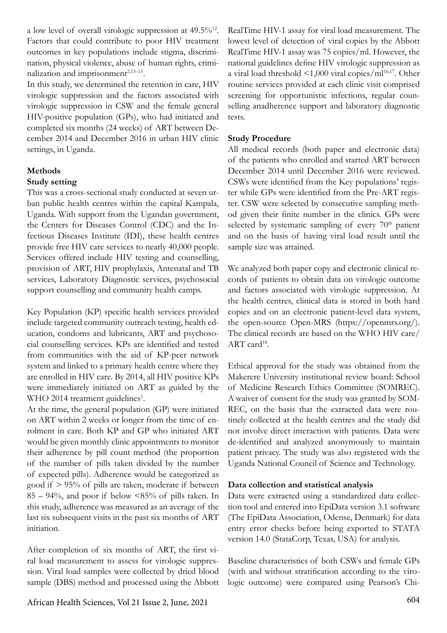a low level of overall virologic suppression at 49.5%12. Factors that could contribute to poor HIV treatment outcomes in key populations include stigma, discrimination, physical violence, abuse of human rights, criminalization and imprisonment $2,13-15$ .

In this study, we determined the retention in care, HIV virologic suppression and the factors associated with virologic suppression in CSW and the female general HIV-positive population (GPs), who had initiated and completed six months (24 weeks) of ART between December 2014 and December 2016 in urban HIV clinic settings, in Uganda.

# **Methods**

## **Study setting**

This was a cross-sectional study conducted at seven urban public health centres within the capital Kampala, Uganda. With support from the Ugandan government, the Centers for Diseases Control (CDC) and the Infectious Diseases Institute (IDI), these health centres provide free HIV care services to nearly 40,000 people. Services offered include HIV testing and counselling, provision of ART, HIV prophylaxis, Antenatal and TB services, Laboratory Diagnostic services, psychosocial support counselling and community health camps.

Key Population (KP) specific health services provided include targeted community outreach testing, health education, condoms and lubricants, ART and psychosocial counselling services. KPs are identified and tested from communities with the aid of KP-peer network system and linked to a primary health centre where they are enrolled in HIV care. By 2014, all HIV positive KPs were immediately initiated on ART as guided by the WHO 2014 treatment guidelines<sup>1</sup>.

At the time, the general population (GP) were initiated on ART within 2 weeks or longer from the time of enrolment in care. Both KP and GP who initiated ART would be given monthly clinic appointments to monitor their adherence by pill count method (the proportion of the number of pills taken divided by the number of expected pills). Adherence would be categorized as good if > 95% of pills are taken, moderate if between  $85 - 94\%$ , and poor if below  $\leq 85\%$  of pills taken. In this study, adherence was measured as an average of the last six subsequent visits in the past six months of ART initiation.

After completion of six months of ART, the first viral load measurement to assess for virologic suppression. Viral load samples were collected by dried blood sample (DBS) method and processed using the Abbott RealTime HIV-1 assay for viral load measurement. The lowest level of detection of viral copies by the Abbott RealTime HIV-1 assay was 75 copies/ml. However, the national guidelines define HIV virologic suppression as a viral load threshold  $\leq 1,000$  viral copies/ml<sup>16,17</sup>. Other routine services provided at each clinic visit comprised screening for opportunistic infections, regular counselling anadherence support and laboratory diagnostic tests.

## **Study Procedure**

All medical records (both paper and electronic data) of the patients who enrolled and started ART between December 2014 until December 2016 were reviewed. CSWs were identified from the Key populations' register while GPs were identified from the Pre-ART register. CSW were selected by consecutive sampling method given their finite number in the clinics. GPs were selected by systematic sampling of every  $70<sup>th</sup>$  patient and on the basis of having viral load result until the sample size was attained.

We analyzed both paper copy and electronic clinical records of patients to obtain data on virologic outcome and factors associated with virologic suppression. At the health centres, clinical data is stored in both hard copies and on an electronic patient-level data system, the open-source Open-MRS (https://openmrs.org/). The clinical records are based on the WHO HIV care/ ART card<sup>18</sup>.

Ethical approval for the study was obtained from the Makerere University institutional review board: School of Medicine Research Ethics Committee (SOMREC). A waiver of consent for the study was granted by SOM-REC, on the basis that the extracted data were routinely collected at the health centres and the study did not involve direct interaction with patients. Data were de-identified and analyzed anonymously to maintain patient privacy. The study was also registered with the Uganda National Council of Science and Technology.

## **Data collection and statistical analysis**

Data were extracted using a standardized data collection tool and entered into EpiData version 3.1 software (The EpiData Association, Odense, Denmark) for data entry error checks before being exported to STATA version 14.0 (StataCorp, Texas, USA) for analysis.

Baseline characteristics of both CSWs and female GPs (with and without stratification according to the virologic outcome) were compared using Pearson's Chi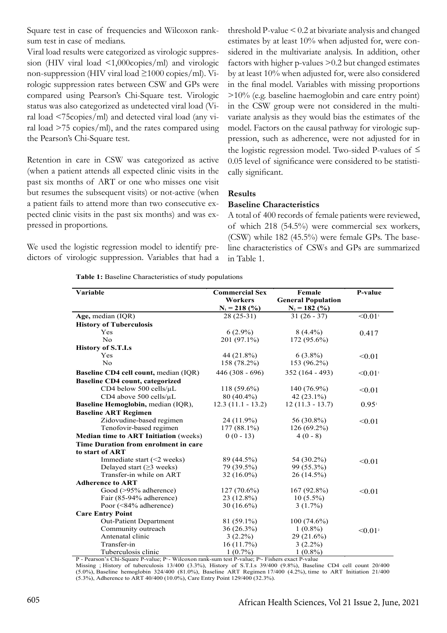Square test in case of frequencies and Wilcoxon ranksum test in case of medians.

Viral load results were categorized as virologic suppression (HIV viral load <1,000copies/ml) and virologic non-suppression (HIV viral load  $\geq 1000$  copies/ml). Virologic suppression rates between CSW and GPs were compared using Pearson's Chi-Square test. Virologic status was also categorized as undetected viral load (Viral load <75copies/ml) and detected viral load (any viral load >75 copies/ml), and the rates compared using the Pearson's Chi-Square test.

Retention in care in CSW was categorized as active (when a patient attends all expected clinic visits in the past six months of ART or one who misses one visit but resumes the subsequent visits) or not-active (when a patient fails to attend more than two consecutive expected clinic visits in the past six months) and was expressed in proportions.

We used the logistic regression model to identify predictors of virologic suppression. Variables that had a

threshold P-value < 0.2 at bivariate analysis and changed estimates by at least 10% when adjusted for, were considered in the multivariate analysis. In addition, other factors with higher p-values >0.2 but changed estimates by at least 10% when adjusted for, were also considered in the final model. Variables with missing proportions >10% (e.g. baseline haemoglobin and care entry point) in the CSW group were not considered in the multivariate analysis as they would bias the estimates of the model. Factors on the causal pathway for virologic suppression, such as adherence, were not adjusted for in the logistic regression model. Two-sided P-values of  $\leq$ 0.05 level of significance were considered to be statistically significant.

#### **Results**

#### **Baseline Characteristics**

A total of 400 records of female patients were reviewed, of which 218 (54.5%) were commercial sex workers, (CSW) while 182 (45.5%) were female GPs. The baseline characteristics of CSWs and GPs are summarized in Table 1.

**Table 1:** Baseline Characteristics of study populations

| Variable                                     | <b>Commercial Sex</b> | Female                    | P-value               |
|----------------------------------------------|-----------------------|---------------------------|-----------------------|
|                                              | Workers               | <b>General Population</b> |                       |
|                                              | $N_1 = 218$ (%)       | $N_2 = 182$ (%)           |                       |
| Age, median (IQR)                            | $28(25-31)$           | $31(26-37)$               | $< 0.01$ <sup>1</sup> |
| <b>History of Tuberculosis</b>               |                       |                           |                       |
| Yes                                          | $6(2.9\%)$            | $8(4.4\%)$                | 0.417                 |
| N <sub>0</sub>                               | 201 (97.1%)           | 172 (95.6%)               |                       |
| <b>History of S.T.I.s</b>                    |                       |                           |                       |
| Yes                                          | 44 (21.8%)            | $6(3.8\%)$                | < 0.01                |
| No                                           | 158 (78.2%)           | 153 (96.2%)               |                       |
| <b>Baseline CD4 cell count, median (IQR)</b> | $446(308 - 696)$      | $352(164 - 493)$          | < 0.01                |
| <b>Baseline CD4 count, categorized</b>       |                       |                           |                       |
| CD4 below 500 cells/µL                       | $118(59.6\%)$         | $140(76.9\%)$             | < 0.01                |
| CD4 above 500 cells/µL                       | $80(40.4\%)$          | 42 $(23.1\%)$             |                       |
| Baseline Hemoglobin, median (IQR),           | $12.3(11.1 - 13.2)$   | $12(11.3 - 13.7)$         | $0.95^{\mathrm{i}}$   |
| <b>Baseline ART Regimen</b>                  |                       |                           |                       |
| Zidovudine-based regimen                     | $24(11.9\%)$          | 56 (30.8%)                | < 0.01                |
| Tenofovir-based regimen                      | $177(88.1\%)$         | $126(69.2\%)$             |                       |
| <b>Median time to ART Initiation (weeks)</b> | $0(0-13)$             | $4(0-8)$                  |                       |
| Time Duration from enrolment in care         |                       |                           |                       |
| to start of ART                              |                       |                           |                       |
| Immediate start $(\leq 2$ weeks)             | 89 (44.5%)            | 54 (30.2%)                | < 0.01                |
| Delayed start ( $\geq$ 3 weeks)              | 79 (39.5%)            | 99 (55.3%)                |                       |
| Transfer-in while on ART                     | $32(16.0\%)$          | 26 (14.5%)                |                       |
| <b>Adherence to ART</b>                      |                       |                           |                       |
| Good (>95% adherence)                        | $127(70.6\%)$         | $167(92.8\%)$             | < 0.01                |
| Fair (85-94% adherence)                      | $23(12.8\%)$          | $10(5.5\%)$               |                       |
| Poor $(\leq 84\%$ adherence)                 | $30(16.6\%)$          | $3(1.7\%)$                |                       |
| <b>Care Entry Point</b>                      |                       |                           |                       |
| Out-Patient Department                       | $81(59.1\%)$          | $100(74.6\%)$             |                       |
| Community outreach                           | $36(26.3\%)$          | $1(0.8\%)$                | $< 0.01^2$            |
| Antenatal clinic                             | $3(2.2\%)$            | $29(21.6\%)$              |                       |
| Transfer-in                                  | 16(11.7%)             | $3(2.2\%)$                |                       |
| Tuberculosis clinic                          | $1(0.7\%)$            | $1(0.8\%)$                |                       |

P - Pearson's Chi-Square P-value; P<sup>1</sup> - Wilcoxon rank-sum test P-value; P<sup>2</sup>- Fishers exact P-value Missing ; History of tuberculosis 13/400 (3.3%), History of S.T.I.s 39/400 (9.8%), Baseline CD4 cell count 20/400

(5.0%), Baseline hemoglobin 324/400 (81.0%), Baseline ART Regimen 17/400 (4.2%), time to ART Initiation 21/400 (5.3%), Adherence to ART 40/400 (10.0%), Care Entry Point 129/400 (32.3%).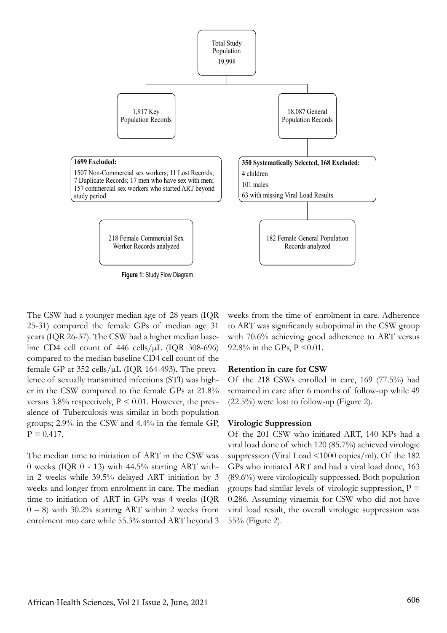

The CSW had a younger median age of 28 years (IQR 25-31) compared the female GPs of median age 31 years (IQR 26-37). The CSW had a higher median baseline CD4 cell count of  $446$  cells/ $\mu$ L (IQR 308-696) compared to the median baseline CD4 cell count of the female GP at  $352$  cells/ $\mu$ L (IQR 164-493). The prevalence of sexually transmitted infections (STI) was higher in the CSW compared to the female GPs at 21.8% versus  $3.8\%$  respectively,  $P \leq 0.01$ . However, the prevalence of Tuberculosis was similar in both population groups; 2.9% in the CSW and 4.4% in the female GP,  $P = 0.417$ .

The median time to initiation of ART in the CSW was 0 weeks (IQR 0 - 13) with 44.5% starting ART within 2 weeks while 39.5% delayed ART initiation by 3 weeks and longer from enrolment in care. The median time to initiation of ART in GPs was 4 weeks (IQR  $(0 - 8)$  with 30.2% starting ART within 2 weeks from enrolment into care while 55.3% started ART beyond 3

weeks from the time of enrolment in care. Adherence to ART was significantly suboptimal in the CSW group with 70.6% achieving good adherence to ART versus 92.8% in the GPs,  $P \le 0.01$ .

#### **Retention in care for CSW**

Of the 218 CSWs enrolled in care, 169 (77.5%) had remained in care after 6 months of follow-up while 49  $(22.5\%)$  were lost to follow-up (Figure 2).

### **Virologic Suppression**

Of the 201 CSW who initiated ART, 140 KPs had a viral load done of which 120 (85.7%) achieved virologic suppression (Viral Load <1000 copies/ml). Of the 182 GPs who initiated ART and had a viral load done, 163 (89.6%) were virologically suppressed. Both population groups had similar levels of virologic suppression,  $P =$ 0.286. Assuming viraemia for CSW who did not have viral load result, the overall virologic suppression was 55% (Figure 2).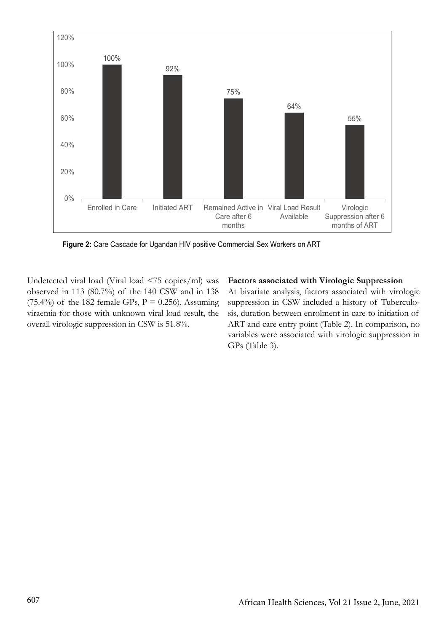

**Figure 2:** Care Cascade for Ugandan HIV positive Commercial Sex Workers on ART

Undetected viral load (Viral load <75 copies/ml) was observed in 113 (80.7%) of the 140 CSW and in 138 (75.4%) of the 182 female GPs,  $P = 0.256$ ). Assuming viraemia for those with unknown viral load result, the overall virologic suppression in CSW is 51.8%.

**Factors associated with Virologic Suppression** At bivariate analysis, factors associated with virologic suppression in CSW included a history of Tuberculosis, duration between enrolment in care to initiation of ART and care entry point (Table 2). In comparison, no variables were associated with virologic suppression in GPs (Table 3).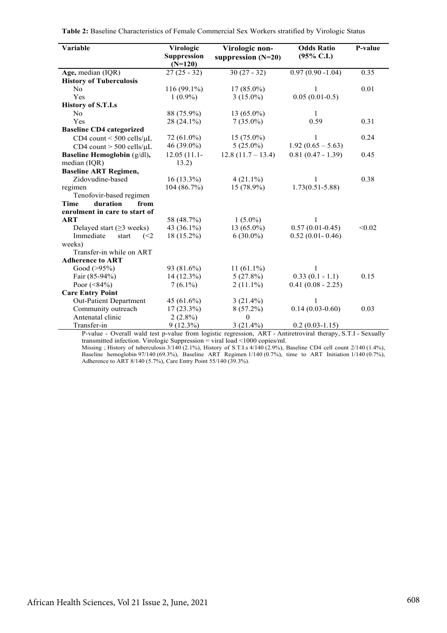| Variable                            | Virologic<br><b>Suppression</b><br>$(N=120)$ | Virologic non-<br>suppression $(N=20)$ | <b>Odds Ratio</b><br>$(95\% \text{ C.I.})$ | P-value |
|-------------------------------------|----------------------------------------------|----------------------------------------|--------------------------------------------|---------|
| Age, median (IQR)                   | $27(25 - 32)$                                | $30(27 - 32)$                          | $0.97(0.90 - 1.04)$                        | 0.35    |
| <b>History of Tuberculosis</b>      |                                              |                                        |                                            |         |
| No                                  | 116 (99.1%)                                  | $17(85.0\%)$                           | 1                                          | 0.01    |
| Yes                                 | $1(0.9\%)$                                   | $3(15.0\%)$                            | $0.05(0.01-0.5)$                           |         |
| <b>History of S.T.I.s</b>           |                                              |                                        |                                            |         |
| N <sub>0</sub>                      | 88 (75.9%)                                   | $13(65.0\%)$                           | $\mathbf{1}$                               |         |
| Yes                                 | $28(24.1\%)$                                 | $7(35.0\%)$                            | 0.59                                       | 0.31    |
| <b>Baseline CD4 categorized</b>     |                                              |                                        |                                            |         |
| CD4 count $\leq 500$ cells/ $\mu$ L | 72 (61.0%)                                   | $15(75.0\%)$                           | 1                                          | 0.24    |
| CD4 count $>$ 500 cells/ $\mu$ L    | $46(39.0\%)$                                 | $5(25.0\%)$                            | $1.92(0.65 - 5.63)$                        |         |
| Baseline Hemoglobin (g/dl),         | $12.05(11.1 -$                               | $12.8(11.7 - 13.4)$                    | $0.81(0.47 - 1.39)$                        | 0.45    |
| median (IQR)                        | 13.2)                                        |                                        |                                            |         |
| <b>Baseline ART Regimen,</b>        |                                              |                                        |                                            |         |
| Zidovudine-based                    | $16(13.3\%)$                                 | $4(21.1\%)$                            | 1                                          | 0.38    |
| regimen                             | 104(86.7%)                                   | 15 (78.9%)                             | $1.73(0.51 - 5.88)$                        |         |
| Tenofovir-based regimen             |                                              |                                        |                                            |         |
| duration<br>Time<br>from            |                                              |                                        |                                            |         |
| enrolment in care to start of       |                                              |                                        |                                            |         |
| <b>ART</b>                          | 58 (48.7%)                                   | $1(5.0\%)$                             | 1                                          |         |
| Delayed start ( $\geq$ 3 weeks)     | 43 $(36.1\%)$                                | $13(65.0\%)$                           | $0.57(0.01 - 0.45)$                        | < 0.02  |
| Immediate<br>start<br>(<2)          | 18 (15.2%)                                   | $6(30.0\%)$                            | $0.52(0.01 - 0.46)$                        |         |
| weeks)                              |                                              |                                        |                                            |         |
| Transfer-in while on ART            |                                              |                                        |                                            |         |
| <b>Adherence to ART</b>             |                                              |                                        |                                            |         |
| Good $(>95\%)$                      | 93 (81.6%)                                   | $11(61.1\%)$                           | 1                                          |         |
| Fair (85-94%)                       | $14(12.3\%)$                                 | 5(27.8%)                               | $0.33(0.1 - 1.1)$                          | 0.15    |
| Poor $(<84\%)$                      | $7(6.1\%)$                                   | $2(11.1\%)$                            | $0.41(0.08 - 2.25)$                        |         |
| <b>Care Entry Point</b>             |                                              |                                        |                                            |         |
| <b>Out-Patient Department</b>       | 45 (61.6%)                                   | $3(21.4\%)$                            | 1                                          |         |
| Community outreach                  | $17(23.3\%)$                                 | $8(57.2\%)$                            | $0.14(0.03-0.60)$                          | 0.03    |
| Antenatal clinic                    | $2(2.8\%)$                                   | $\theta$                               |                                            |         |
| Transfer-in<br>$\mathbf{r}$<br>1.1  | $9(12.3\%)$                                  | $3(21.4\%)$                            | $0.2(0.03-1.15)$<br>$Q \equiv \mathbf{r}$  |         |

**Table 2:** Baseline Characteristics of Female Commercial Sex Workers stratified by Virologic Status

P-value - Overall wald test p-value from logistic regression, ART - Antiretroviral therapy, S.T.I - Sexually transmitted infection. Virologic Suppression = viral load <1000 copies/ml.

Missing ; History of tuberculosis 3/140 (2.1%), History of S.T.I.s 4/140 (2.9%), Baseline CD4 cell count 2/140 (1.4%), Baseline hemoglobin 97/140 (69.3%), Baseline ART Regimen 1/140 (0.7%), time to ART Initiation 1/140 (0.7%), Adherence to ART 8/140 (5.7%), Care Entry Point 55/140 (39.3%).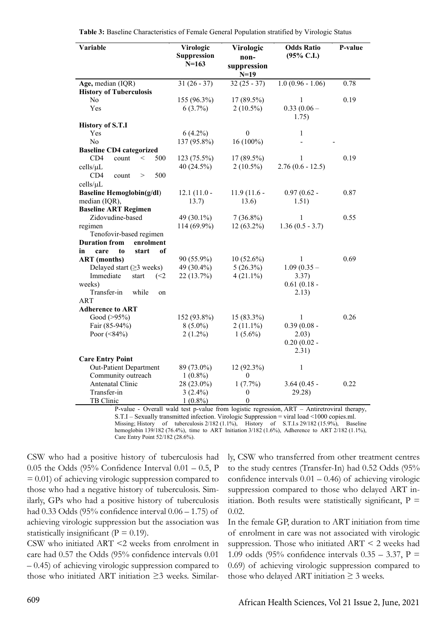| Variable                                   | Virologic<br><b>Suppression</b><br>$N=163$ | Virologic<br>non-<br>suppression<br>$N=19$ | <b>Odds Ratio</b><br>$(95\%$ C.I.) | P-value |
|--------------------------------------------|--------------------------------------------|--------------------------------------------|------------------------------------|---------|
| Age, median (IQR)                          | $31(26-37)$                                | $32(25 - 37)$                              | $1.0(0.96 - 1.06)$                 | 0.78    |
| <b>History of Tuberculosis</b>             |                                            |                                            |                                    |         |
| No.                                        | 155 (96.3%)                                | 17 (89.5%)                                 | 1                                  | 0.19    |
| Yes                                        | $6(3.7\%)$                                 | $2(10.5\%)$                                | $0.33(0.06 -$<br>1.75)             |         |
| <b>History of S.T.I</b>                    |                                            |                                            |                                    |         |
| Yes                                        | $6(4.2\%)$                                 | $\boldsymbol{0}$                           | 1                                  |         |
| N <sub>0</sub>                             | 137 (95.8%)                                | $16(100\%)$                                |                                    |         |
| <b>Baseline CD4 categorized</b>            |                                            |                                            |                                    |         |
| CD4<br>count<br>500<br>$\,<$               | 123 (75.5%)                                | 17 (89.5%)                                 | 1                                  | 0.19    |
| cells/µL                                   | 40(24.5%)                                  | $2(10.5\%)$                                | $2.76(0.6 - 12.5)$                 |         |
| CD4<br>500<br>count<br>>                   |                                            |                                            |                                    |         |
| cells/µL                                   |                                            |                                            |                                    |         |
| <b>Baseline Hemoglobin(g/dl)</b>           | $12.1(11.0 -$                              | $11.9(11.6 -$                              | $0.97(0.62 -$                      | 0.87    |
| median (IQR),                              | 13.7)                                      | 13.6)                                      | 1.51)                              |         |
| <b>Baseline ART Regimen</b>                |                                            |                                            |                                    |         |
| Zidovudine-based                           | 49 (30.1%)                                 | $7(36.8\%)$                                | 1                                  | 0.55    |
| regimen                                    | 114 (69.9%)                                | 12 (63.2%)                                 | $1.36(0.5 - 3.7)$                  |         |
| Tenofovir-based regimen                    |                                            |                                            |                                    |         |
| <b>Duration from</b><br>enrolment          |                                            |                                            |                                    |         |
| of<br>in<br>care<br>to<br>start            |                                            |                                            |                                    |         |
| <b>ART</b> (months)                        | 90 (55.9%)                                 | $10(52.6\%)$                               | 1                                  | 0.69    |
| Delayed start $(\geq 3$ weeks)             | 49 (30.4%)                                 | $5(26.3\%)$                                | $1.09(0.35 -$                      |         |
| Immediate<br>start<br>$\left( < 2 \right)$ | 22 (13.7%)                                 | $4(21.1\%)$                                | 3.37)                              |         |
| weeks)                                     |                                            |                                            | $0.61(0.18 -$                      |         |
| Transfer-in<br>while<br>on                 |                                            |                                            | 2.13)                              |         |
| <b>ART</b>                                 |                                            |                                            |                                    |         |
| <b>Adherence to ART</b>                    |                                            |                                            |                                    |         |
| Good $(>95%)$                              | 152 (93.8%)                                | 15 (83.3%)                                 | 1                                  | 0.26    |
| Fair (85-94%)                              | $8(5.0\%)$                                 | $2(11.1\%)$                                | $0.39(0.08 -$                      |         |
| Poor $(<84\%)$                             | $2(1.2\%)$                                 | $1(5.6\%)$                                 | 2.03)                              |         |
|                                            |                                            |                                            | $0.20(0.02 -$                      |         |
|                                            |                                            |                                            | 2.31)                              |         |
| <b>Care Entry Point</b>                    |                                            |                                            |                                    |         |
| Out-Patient Department                     | 89 (73.0%)                                 | 12 (92.3%)                                 | 1                                  |         |
| Community outreach                         | $1(0.8\%)$                                 | $\boldsymbol{0}$                           |                                    |         |
| Antenatal Clinic                           | 28 (23.0%)                                 | 1(7.7%)                                    | $3.64(0.45 -$                      | 0.22    |
| Transfer-in                                | $3(2.4\%)$                                 | 0                                          | 29.28)                             |         |
| TB Clinic                                  | $1(0.8\%)$                                 | $\boldsymbol{0}$                           | $\sqrt{2}$                         |         |

P-value - Overall wald test p-value from logistic regression, ART – Antiretroviral therapy, S.T.I – Sexually transmitted infection. Virologic Suppression = viral load <1000 copies.ml. Missing; History of tuberculosis 2/182 (1.1%), History of S.T.I.s 29/182 (15.9%), Baseline hemoglobin 139/182 (76.4%), time to ART Initiation 3/182 (1.6%), Adherence to ART 2/182 (1.1%), Care Entry Point 52/182 (28.6%).

CSW who had a positive history of tuberculosis had  $0.05$  the Odds (95% Confidence Interval  $0.01 - 0.5$ , P  $= 0.01$ ) of achieving virologic suppression compared to those who had a negative history of tuberculosis. Similarly, GPs who had a positive history of tuberculosis had 0.33 Odds (95% confidence interval 0.06 – 1.75) of achieving virologic suppression but the association was statistically insignificant ( $P = 0.19$ ).

CSW who initiated ART <2 weeks from enrolment in care had 0.57 the Odds (95% confidence intervals 0.01 – 0.45) of achieving virologic suppression compared to those who initiated ART initiation  $\geq$ 3 weeks. Similarly, CSW who transferred from other treatment centres to the study centres (Transfer-In) had 0.52 Odds (95% confidence intervals  $0.01 - 0.46$ ) of achieving virologic suppression compared to those who delayed ART initiation. Both results were statistically significant,  $P =$ 0.02.

In the female GP, duration to ART initiation from time of enrolment in care was not associated with virologic suppression. Those who initiated ART < 2 weeks had 1.09 odds (95% confidence intervals  $0.35 - 3.37$ , P = 0.69) of achieving virologic suppression compared to those who delayed ART initiation  $\geq$  3 weeks.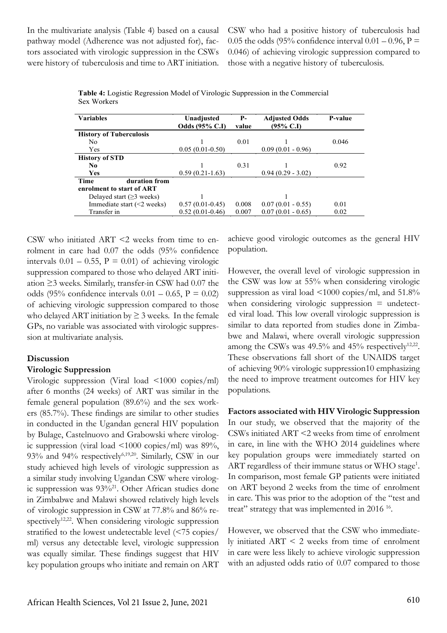In the multivariate analysis (Table 4) based on a causal pathway model (Adherence was not adjusted for), factors associated with virologic suppression in the CSWs were history of tuberculosis and time to ART initiation. CSW who had a positive history of tuberculosis had 0.05 the odds (95% confidence interval  $0.01 - 0.96$ , P = 0.046) of achieving virologic suppression compared to those with a negative history of tuberculosis.

| <b>Variables</b>                 | Unadjusted            | <b>P</b> - | <b>Adjusted Odds</b> | P-value |
|----------------------------------|-----------------------|------------|----------------------|---------|
|                                  | <b>Odds</b> (95% C.I) | value      | $(95\% \text{ C}J)$  |         |
| <b>History of Tuberculosis</b>   |                       |            |                      |         |
| N <sub>0</sub>                   |                       | 0.01       |                      | 0.046   |
| Yes                              | $0.05(0.01-0.50)$     |            | $0.09(0.01 - 0.96)$  |         |
| <b>History of STD</b>            |                       |            |                      |         |
| N <sub>0</sub>                   |                       | 0.31       |                      | 0.92    |
| Yes                              | $0.59(0.21-1.63)$     |            | $0.94(0.29 - 3.02)$  |         |
| <b>Time</b><br>duration from     |                       |            |                      |         |
| enrolment to start of ART        |                       |            |                      |         |
| Delayed start $(\geq 3$ weeks)   |                       |            |                      |         |
| Immediate start $(\leq 2$ weeks) | $0.57(0.01-0.45)$     | 0.008      | $0.07(0.01 - 0.55)$  | 0.01    |
| Transfer in                      | $0.52(0.01-0.46)$     | 0.007      | $0.07(0.01 - 0.65)$  | 0.02    |

**Table 4:** Logistic Regression Model of Virologic Suppression in the Commercial Sex Workers

CSW who initiated ART <2 weeks from time to enrolment in care had 0.07 the odds (95% confidence intervals  $0.01 - 0.55$ ,  $P = 0.01$ ) of achieving virologic suppression compared to those who delayed ART initiation ≥3 weeks. Similarly, transfer-in CSW had 0.07 the odds (95% confidence intervals  $0.01 - 0.65$ ,  $P = 0.02$ ) of achieving virologic suppression compared to those who delayed ART initiation by  $\geq$  3 weeks. In the female GPs, no variable was associated with virologic suppression at multivariate analysis.

#### **Discussion**

#### **Virologic Suppression**

Virologic suppression (Viral load <1000 copies/ml) after 6 months (24 weeks) of ART was similar in the female general population (89.6%) and the sex workers (85.7%). These findings are similar to other studies in conducted in the Ugandan general HIV population by Bulage, Castelnuovo and Grabowski where virologic suppression (viral load <1000 copies/ml) was 89%, 93% and 94% respectively<sup>6,19,20</sup>. Similarly, CSW in our study achieved high levels of virologic suppression as a similar study involving Ugandan CSW where virologic suppression was 93%<sup>21</sup>. Other African studies done in Zimbabwe and Malawi showed relatively high levels of virologic suppression in CSW at 77.8% and 86% respectively<sup>12,22</sup>. When considering virologic suppression stratified to the lowest undetectable level (<75 copies/ ml) versus any detectable level, virologic suppression was equally similar. These findings suggest that HIV key population groups who initiate and remain on ART

achieve good virologic outcomes as the general HIV population.

However, the overall level of virologic suppression in the CSW was low at 55% when considering virologic suppression as viral load <1000 copies/ml, and 51.8% when considering virologic suppression  $=$  undetected viral load. This low overall virologic suppression is similar to data reported from studies done in Zimbabwe and Malawi, where overall virologic suppression among the CSWs was  $49.5\%$  and  $45\%$  respectively<sup>12,22</sup>. These observations fall short of the UNAIDS target of achieving 90% virologic suppression10 emphasizing the need to improve treatment outcomes for HIV key populations.

**Factors associated with HIV Virologic Suppression** In our study, we observed that the majority of the CSWs initiated ART <2 weeks from time of enrolment in care, in line with the WHO 2014 guidelines where key population groups were immediately started on ART regardless of their immune status or WHO stage<sup>1</sup>. In comparison, most female GP patients were initiated on ART beyond 2 weeks from the time of enrolment in care. This was prior to the adoption of the "test and treat" strategy that was implemented in 2016<sup>16</sup>.

However, we observed that the CSW who immediately initiated ART < 2 weeks from time of enrolment in care were less likely to achieve virologic suppression with an adjusted odds ratio of 0.07 compared to those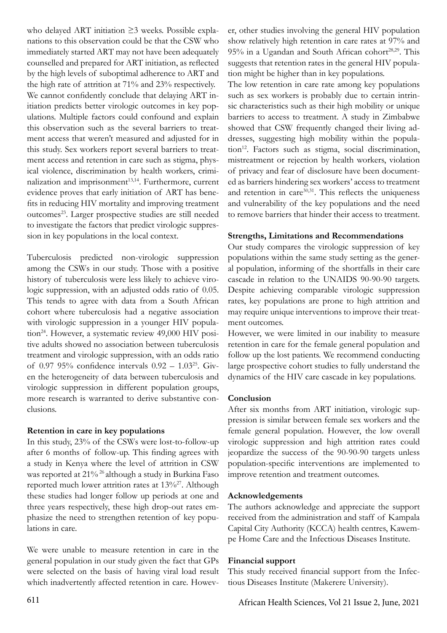who delayed ART initiation ≥3 weeks. Possible explanations to this observation could be that the CSW who immediately started ART may not have been adequately counselled and prepared for ART initiation, as reflected by the high levels of suboptimal adherence to ART and the high rate of attrition at 71% and 23% respectively. We cannot confidently conclude that delaying ART initiation predicts better virologic outcomes in key populations. Multiple factors could confound and explain this observation such as the several barriers to treatment access that weren't measured and adjusted for in this study. Sex workers report several barriers to treatment access and retention in care such as stigma, physical violence, discrimination by health workers, criminalization and imprisonment<sup>13,14</sup>. Furthermore, current evidence proves that early initiation of ART has benefits in reducing HIV mortality and improving treatment outcomes<sup>23</sup>. Larger prospective studies are still needed to investigate the factors that predict virologic suppression in key populations in the local context.

Tuberculosis predicted non-virologic suppression among the CSWs in our study. Those with a positive history of tuberculosis were less likely to achieve virologic suppression, with an adjusted odds ratio of 0.05. This tends to agree with data from a South African cohort where tuberculosis had a negative association with virologic suppression in a younger HIV population<sup>24</sup>. However, a systematic review 49,000 HIV positive adults showed no association between tuberculosis treatment and virologic suppression, with an odds ratio of 0.97 95% confidence intervals  $0.92 - 1.03^{25}$ . Given the heterogeneity of data between tuberculosis and virologic suppression in different population groups, more research is warranted to derive substantive conclusions.

## **Retention in care in key populations**

In this study, 23% of the CSWs were lost-to-follow-up after 6 months of follow-up. This finding agrees with a study in Kenya where the level of attrition in CSW was reported at 21% 26 although a study in Burkina Faso reported much lower attrition rates at 13%27. Although these studies had longer follow up periods at one and three years respectively, these high drop-out rates emphasize the need to strengthen retention of key populations in care.

We were unable to measure retention in care in the general population in our study given the fact that GPs were selected on the basis of having viral load result which inadvertently affected retention in care. However, other studies involving the general HIV population show relatively high retention in care rates at 97% and  $95\%$  in a Ugandan and South African cohort<sup>28,29</sup>. This suggests that retention rates in the general HIV population might be higher than in key populations.

The low retention in care rate among key populations such as sex workers is probably due to certain intrinsic characteristics such as their high mobility or unique barriers to access to treatment. A study in Zimbabwe showed that CSW frequently changed their living addresses, suggesting high mobility within the population<sup>12</sup>. Factors such as stigma, social discrimination, mistreatment or rejection by health workers, violation of privacy and fear of disclosure have been documented as barriers hindering sex workers' access to treatment and retention in care<sup>30,31</sup>. This reflects the uniqueness and vulnerability of the key populations and the need to remove barriers that hinder their access to treatment.

# **Strengths, Limitations and Recommendations**

Our study compares the virologic suppression of key populations within the same study setting as the general population, informing of the shortfalls in their care cascade in relation to the UNAIDS 90-90-90 targets. Despite achieving comparable virologic suppression rates, key populations are prone to high attrition and may require unique interventions to improve their treatment outcomes.

However, we were limited in our inability to measure retention in care for the female general population and follow up the lost patients. We recommend conducting large prospective cohort studies to fully understand the dynamics of the HIV care cascade in key populations.

# **Conclusion**

After six months from ART initiation, virologic suppression is similar between female sex workers and the female general population. However, the low overall virologic suppression and high attrition rates could jeopardize the success of the 90-90-90 targets unless population-specific interventions are implemented to improve retention and treatment outcomes.

# **Acknowledgements**

The authors acknowledge and appreciate the support received from the administration and staff of Kampala Capital City Authority (KCCA) health centres, Kawempe Home Care and the Infectious Diseases Institute.

# **Financial support**

This study received financial support from the Infectious Diseases Institute (Makerere University).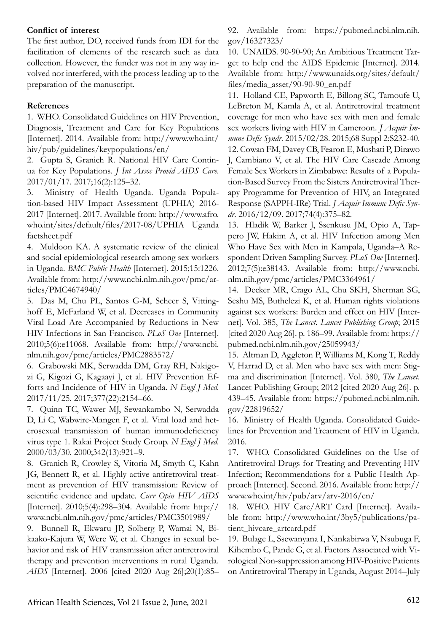#### **Conflict of interest**

The first author, DO, received funds from IDI for the facilitation of elements of the research such as data collection. However, the funder was not in any way involved nor interfered, with the process leading up to the preparation of the manuscript.

## **References**

1. WHO. Consolidated Guidelines on HIV Prevention, Diagnosis, Treatment and Care for Key Populations [Internet]. 2014. Available from: http://www.who.int/ hiv/pub/guidelines/keypopulations/en/

2. Gupta S, Granich R. National HIV Care Continua for Key Populations. *J Int Assoc Provid AIDS Care*. 2017/01/17. 2017;16(2):125–32.

3. Ministry of Health Uganda. Uganda Population-based HIV Impact Assessment (UPHIA) 2016- 2017 [Internet]. 2017. Available from: http://www.afro. who.int/sites/default/files/2017-08/UPHIA Uganda factsheet.pdf

4. Muldoon KA. A systematic review of the clinical and social epidemiological research among sex workers in Uganda. *BMC Public Health* [Internet]. 2015;15:1226. Available from: http://www.ncbi.nlm.nih.gov/pmc/articles/PMC4674940/

5. Das M, Chu PL, Santos G-M, Scheer S, Vittinghoff E, McFarland W, et al. Decreases in Community Viral Load Are Accompanied by Reductions in New HIV Infections in San Francisco. *PLoS One* [Internet]. 2010;5(6):e11068. Available from: http://www.ncbi. nlm.nih.gov/pmc/articles/PMC2883572/

6. Grabowski MK, Serwadda DM, Gray RH, Nakigozi G, Kigozi G, Kagaayi J, et al. HIV Prevention Efforts and Incidence of HIV in Uganda. *N Engl J Med*. 2017/11/25. 2017;377(22):2154–66.

7. Quinn TC, Wawer MJ, Sewankambo N, Serwadda D, Li C, Wabwire-Mangen F, et al. Viral load and heterosexual transmission of human immunodeficiency virus type 1. Rakai Project Study Group. *N Engl J Med*. 2000/03/30. 2000;342(13):921–9.

8. Granich R, Crowley S, Vitoria M, Smyth C, Kahn JG, Bennett R, et al. Highly active antiretroviral treatment as prevention of HIV transmission: Review of scientific evidence and update. *Curr Opin HIV AIDS*  [Internet]. 2010;5(4):298–304. Available from: http:// www.ncbi.nlm.nih.gov/pmc/articles/PMC3501989/

9. Bunnell R, Ekwaru JP, Solberg P, Wamai N, Bikaako-Kajura W, Were W, et al. Changes in sexual behavior and risk of HIV transmission after antiretroviral therapy and prevention interventions in rural Uganda. *AIDS* [Internet]. 2006 [cited 2020 Aug 26];20(1):85–

92. Available from: https://pubmed.ncbi.nlm.nih. gov/16327323/

10. UNAIDS. 90-90-90; An Ambitious Treatment Target to help end the AIDS Epidemic [Internet]. 2014. Available from: http://www.unaids.org/sites/default/ files/media\_asset/90-90-90\_en.pdf

11. Holland CE, Papworth E, Billong SC, Tamoufe U, LeBreton M, Kamla A, et al. Antiretroviral treatment coverage for men who have sex with men and female sex workers living with HIV in Cameroon. *J Acquir Immune Defic Syndr*. 2015/02/28. 2015;68 Suppl 2:S232-40. 12. Cowan FM, Davey CB, Fearon E, Mushati P, Dirawo J, Cambiano V, et al. The HIV Care Cascade Among Female Sex Workers in Zimbabwe: Results of a Population-Based Survey From the Sisters Antiretroviral Therapy Programme for Prevention of HIV, an Integrated Response (SAPPH-IRe) Trial. *J Acquir Immune Defic Syndr*. 2016/12/09. 2017;74(4):375–82.

13. Hladik W, Barker J, Ssenkusu JM, Opio A, Tappero JW, Hakim A, et al. HIV Infection among Men Who Have Sex with Men in Kampala, Uganda–A Respondent Driven Sampling Survey. *PLoS One* [Internet]. 2012;7(5):e38143. Available from: http://www.ncbi. nlm.nih.gov/pmc/articles/PMC3364961/

14. Decker MR, Crago AL, Chu SKH, Sherman SG, Seshu MS, Buthelezi K, et al. Human rights violations against sex workers: Burden and effect on HIV [Internet]. Vol. 385, *The Lancet. Lancet Publishing Group*; 2015 [cited 2020 Aug 26]. p. 186–99. Available from: https:// pubmed.ncbi.nlm.nih.gov/25059943/

15. Altman D, Aggleton P, Williams M, Kong T, Reddy V, Harrad D, et al. Men who have sex with men: Stigma and discrimination [Internet]. Vol. 380, *The Lancet*. Lancet Publishing Group; 2012 [cited 2020 Aug 26]. p. 439–45. Available from: https://pubmed.ncbi.nlm.nih. gov/22819652/

16. Ministry of Health Uganda. Consolidated Guidelines for Prevention and Treatment of HIV in Uganda. 2016.

17. WHO. Consolidated Guidelines on the Use of Antiretroviral Drugs for Treating and Preventing HIV Infection; Recommendations for a Public Health Approach [Internet]. Second. 2016. Available from: http:// www.who.int/hiv/pub/arv/arv-2016/en/

18. WHO. HIV Care/ART Card [Internet]. Available from: http://www.who.int/3by5/publications/patient\_hivcare\_artcard.pdf

19. Bulage L, Ssewanyana I, Nankabirwa V, Nsubuga F, Kihembo C, Pande G, et al. Factors Associated with Virological Non-suppression among HIV-Positive Patients on Antiretroviral Therapy in Uganda, August 2014–July